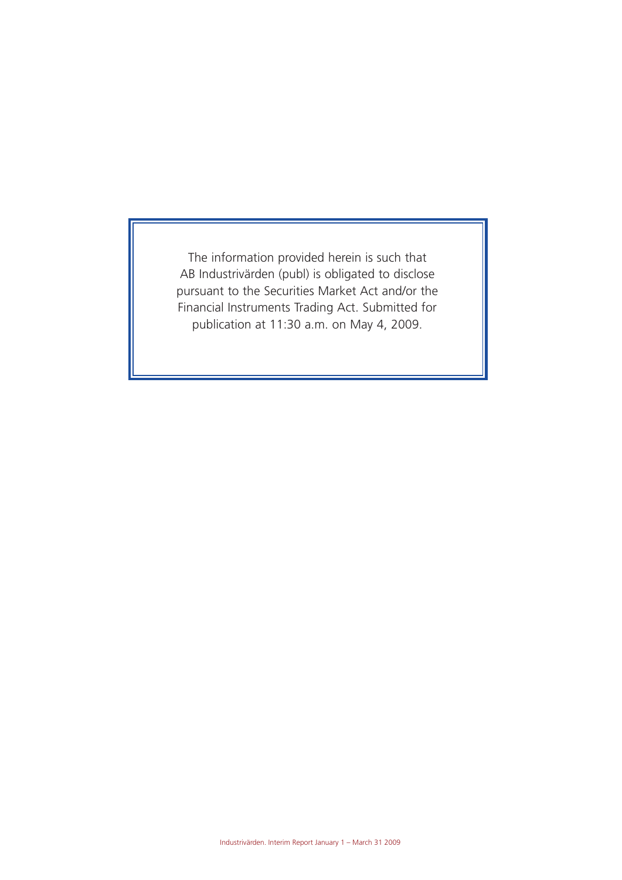The information provided herein is such that AB Industrivärden (publ) is obligated to disclose pursuant to the Securities Market Act and/or the Financial Instruments Trading Act. Submitted for publication at 11:30 a.m. on May 4, 2009.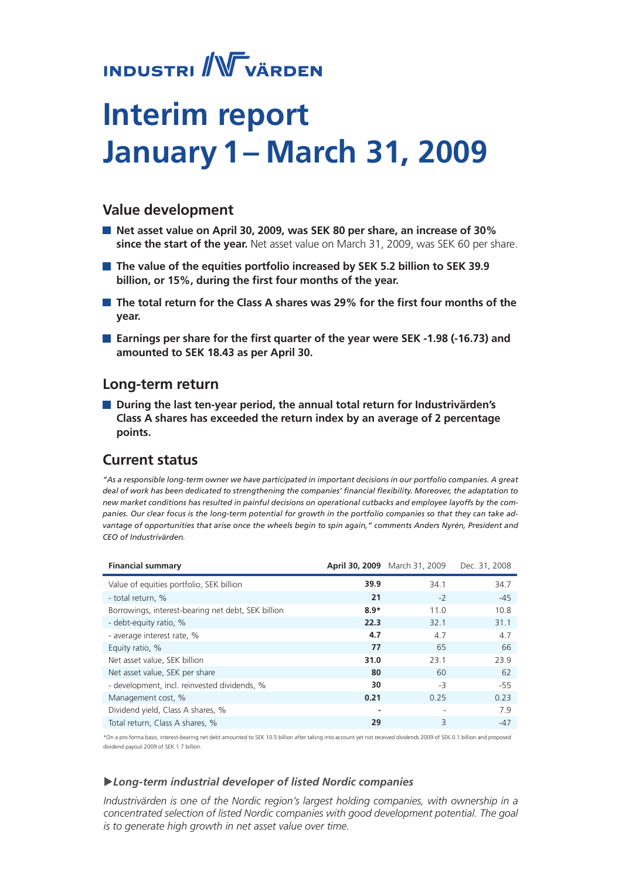# **INDUSTRI** WVÄRDEN

# **Interim report January 1– March 31, 2009**

# **Value development**

- **Net asset value on April 30, 2009, was SEK 80 per share, an increase of 30% since the start of the year.** Net asset value on March 31, 2009, was SEK 60 per share.
- **The value of the equities portfolio increased by SEK 5.2 billion to SEK 39.9 billion, or 15%, during the first four months of the year.**
- **The total return for the Class A shares was 29% for the first four months of the year.**
- **Earnings per share for the first quarter of the year were SEK -1.98 (-16.73) and amounted to SEK 18.43 as per April 30.**

# **Long-term return**

■ During the last ten-year period, the annual total return for Industrivärden's **Class A shares has exceeded the return index by an average of 2 percentage points.**

# **Current status**

*"As a responsible long-term owner we have participated in important decisions in our portfolio companies. A great deal of work has been dedicated to strengthening the companies' financial flexibility. Moreover, the adaptation to new market conditions has resulted in painful decisions on operational cutbacks and employee layoffs by the companies. Our clear focus is the long-term potential for growth in the portfolio companies so that they can take advantage of opportunities that arise once the wheels begin to spin again," comments Anders Nyrén, President and CEO of Industrivärden.*

| <b>Financial summary</b>                           |        | April 30, 2009 March 31, 2009 | Dec. 31, 2008 |
|----------------------------------------------------|--------|-------------------------------|---------------|
| Value of equities portfolio, SEK billion           | 39.9   | 34.1                          | 34.7          |
| - total return, %                                  | 21     | $-2$                          | $-45$         |
| Borrowings, interest-bearing net debt, SEK billion | $8.9*$ | 11.0                          | 10.8          |
| - debt-equity ratio, %                             | 22.3   | 32.1                          | 31.1          |
| - average interest rate, %                         | 4.7    | 4.7                           | 4.7           |
| Equity ratio, %                                    | 77     | 65                            | 66            |
| Net asset value, SEK billion                       | 31.0   | 23.1                          | 23.9          |
| Net asset value, SEK per share                     | 80     | 60                            | 62            |
| - development, incl. reinvested dividends, %       | 30     | -3                            | -55           |
| Management cost, %                                 | 0.21   | 0.25                          | 0.23          |
| Dividend yield, Class A shares, %                  | ۰      |                               | 7.9           |
| Total return, Class A shares, %                    | 29     | 3                             | $-47$         |

\*On a pro forma basis, interest-bearing net debt amounted to SEK 10.5 billion after taking into account yet not received dividends 2009 of SEK 0.1 billion and proposed dividend payout 2009 of SEK 1.7 billion.

# u*Long-term industrial developer of listed Nordic companies*

*Industrivärden is one of the Nordic region's largest holding companies, with ownership in a concentrated selection of listed Nordic companies with good development potential. The goal is to generate high growth in net asset value over time.*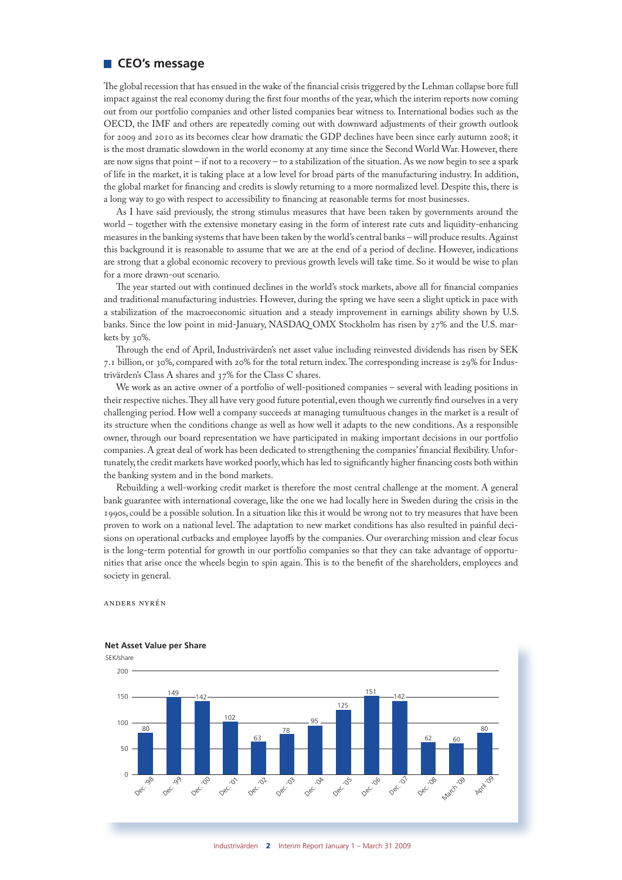# **CEO's message**

The global recession that has ensued in the wake of the financial crisis triggered by the Lehman collapse bore full impact against the real economy during the first four months of the year, which the interim reports now coming out from our portfolio companies and other listed companies bear witness to. International bodies such as the OECD, the IMF and others are repeatedly coming out with downward adjustments of their growth outlook for 2009 and 2010 as its becomes clear how dramatic the GDP declines have been since early autumn 2008; it is the most dramatic slowdown in the world economy at any time since the Second World War. However, there are now signs that point – if not to a recovery – to a stabilization of the situation. As we now begin to see a spark of life in the market, it is taking place at a low level for broad parts of the manufacturing industry. In addition, the global market for financing and credits is slowly returning to a more normalized level. Despite this, there is a long way to go with respect to accessibility to financing at reasonable terms for most businesses.

As I have said previously, the strong stimulus measures that have been taken by governments around the world – together with the extensive monetary easing in the form of interest rate cuts and liquidity-enhancing measures in the banking systems that have been taken by the world's central banks – will produce results. Against this background it is reasonable to assume that we are at the end of a period of decline. However, indications are strong that a global economic recovery to previous growth levels will take time. So it would be wise to plan for a more drawn-out scenario.

The year started out with continued declines in the world's stock markets, above all for financial companies and traditional manufacturing industries. However, during the spring we have seen a slight uptick in pace with a stabilization of the macroeconomic situation and a steady improvement in earnings ability shown by U.S. banks. Since the low point in mid-January, NASDAQ OMX Stockholm has risen by 27% and the U.S. markets by 30%.

Through the end of April, Industrivärden's net asset value including reinvested dividends has risen by SEK 7.1 billion, or 30%, compared with 20% for the total return index. The corresponding increase is 29% for Industrivärden's Class A shares and 37% for the Class C shares.

We work as an active owner of a portfolio of well-positioned companies – several with leading positions in their respective niches. They all have very good future potential, even though we currently find ourselves in a very challenging period. How well a company succeeds at managing tumultuous changes in the market is a result of its structure when the conditions change as well as how well it adapts to the new conditions. As a responsible owner, through our board representation we have participated in making important decisions in our portfolio companies. A great deal of work has been dedicated to strengthening the companies' financial flexibility. Unfortunately, the credit markets have worked poorly, which has led to significantly higher financing costs both within the banking system and in the bond markets.

Rebuilding a well-working credit market is therefore the most central challenge at the moment. A general bank guarantee with international coverage, like the one we had locally here in Sweden during the crisis in the 1990s, could be a possible solution. In a situation like this it would be wrong not to try measures that have been proven to work on a national level. The adaptation to new market conditions has also resulted in painful decisions on operational cutbacks and employee layoffs by the companies. Our overarching mission and clear focus is the long-term potential for growth in our portfolio companies so that they can take advantage of opportunities that arise once the wheels begin to spin again. This is to the benefit of the shareholders, employees and society in general.

Anders nyrén



Industrivärden 2 Interim Report January 1 – March 31 2009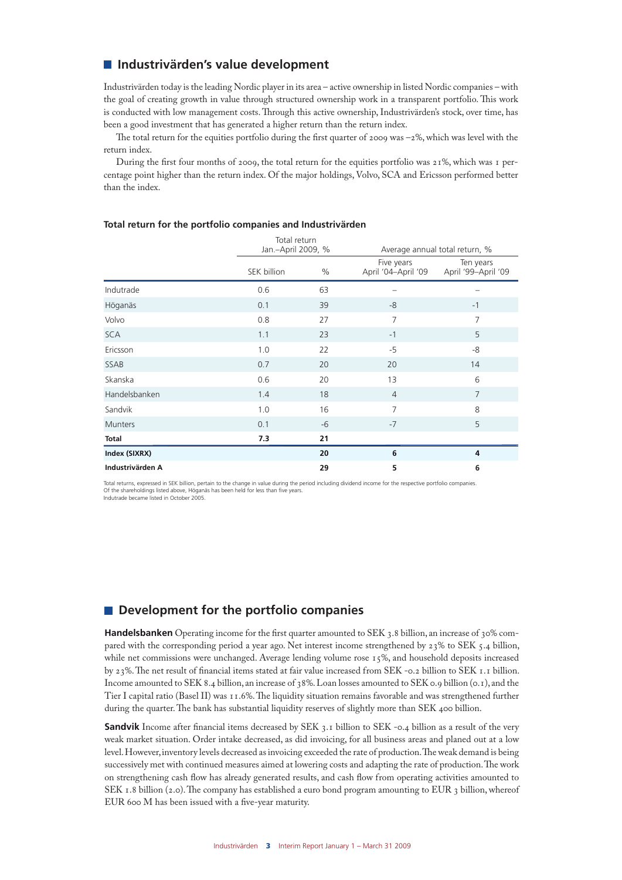# **Industrivärden's value development**

Industrivärden today is the leading Nordic player in its area – active ownership in listed Nordic companies – with the goal of creating growth in value through structured ownership work in a transparent portfolio. This work is conducted with low management costs. Through this active ownership, Industrivärden's stock, over time, has been a good investment that has generated a higher return than the return index.

The total return for the equities portfolio during the first quarter of 2009 was –2%, which was level with the return index.

During the first four months of 2009, the total return for the equities portfolio was 21%, which was 1 percentage point higher than the return index. Of the major holdings, Volvo, SCA and Ericsson performed better than the index.

|                  |             | Total return<br>Jan.-April 2009, %<br>Average annual total return, % |                                   |                                  |
|------------------|-------------|----------------------------------------------------------------------|-----------------------------------|----------------------------------|
|                  | SEK billion | $\%$                                                                 | Five years<br>April '04-April '09 | Ten years<br>April '99-April '09 |
| Indutrade        | 0.6         | 63                                                                   |                                   |                                  |
| Höganäs          | 0.1         | 39                                                                   | -8                                | $-1$                             |
| Volvo            | 0.8         | 27                                                                   | $\overline{7}$                    | 7                                |
| <b>SCA</b>       | 1.1         | 23                                                                   | $-1$                              | 5                                |
| Ericsson         | 1.0         | 22                                                                   | $-5$                              | -8                               |
| SSAB             | 0.7         | 20                                                                   | 20                                | 14                               |
| Skanska          | 0.6         | 20                                                                   | 13                                | 6                                |
| Handelsbanken    | 1.4         | 18                                                                   | $\overline{4}$                    | $\overline{7}$                   |
| Sandvik          | 1.0         | 16                                                                   | $\overline{7}$                    | 8                                |
| <b>Munters</b>   | 0.1         | -6                                                                   | $-7$                              | 5                                |
| <b>Total</b>     | 7.3         | 21                                                                   |                                   |                                  |
| Index (SIXRX)    |             | 20                                                                   | 6                                 | 4                                |
| Industrivärden A |             | 29                                                                   | 5                                 | 6                                |

#### **Total return for the portfolio companies and Industrivärden**

Total returns, expressed in SEK billion, pertain to the change in value during the period including dividend income for the respective portfolio companies.<br>Of the shareholdings listed above, Höganäs has been held for less Indutrade became listed in October 2005.

# $\blacksquare$  Development for the portfolio companies

**Handelsbanken** Operating income for the first quarter amounted to SEK 3.8 billion, an increase of 30% compared with the corresponding period a year ago. Net interest income strengthened by 23% to SEK 5.4 billion, while net commissions were unchanged. Average lending volume rose 15%, and household deposits increased by 23%. The net result of financial items stated at fair value increased from SEK -0.2 billion to SEK 1.1 billion. Income amounted to SEK 8.4 billion, an increase of 38%. Loan losses amounted to SEK 0.9 billion (0.1), and the Tier I capital ratio (Basel II) was 11.6%. The liquidity situation remains favorable and was strengthened further during the quarter. The bank has substantial liquidity reserves of slightly more than SEK 400 billion.

**Sandvik** Income after financial items decreased by SEK 3.1 billion to SEK -0.4 billion as a result of the very weak market situation. Order intake decreased, as did invoicing, for all business areas and planed out at a low level. However, inventory levels decreased as invoicing exceeded the rate of production. The weak demand is being successively met with continued measures aimed at lowering costs and adapting the rate of production. The work on strengthening cash flow has already generated results, and cash flow from operating activities amounted to SEK 1.8 billion (2.0). The company has established a euro bond program amounting to EUR 3 billion, whereof EUR 600 M has been issued with a five-year maturity.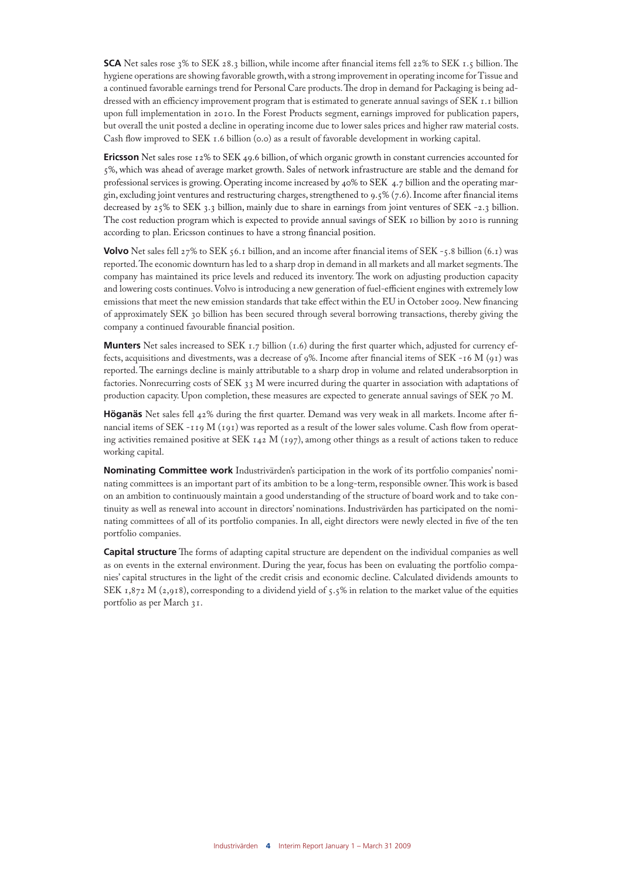**SCA** Net sales rose 3% to SEK 28.3 billion, while income after financial items fell 22% to SEK 1.5 billion. The hygiene operations are showing favorable growth, with a strong improvement in operating income for Tissue and a continued favorable earnings trend for Personal Care products. The drop in demand for Packaging is being addressed with an efficiency improvement program that is estimated to generate annual savings of SEK 1.1 billion upon full implementation in 2010. In the Forest Products segment, earnings improved for publication papers, but overall the unit posted a decline in operating income due to lower sales prices and higher raw material costs. Cash flow improved to SEK 1.6 billion (0.0) as a result of favorable development in working capital.

**Ericsson** Net sales rose 12% to SEK 49.6 billion, of which organic growth in constant currencies accounted for 5%, which was ahead of average market growth. Sales of network infrastructure are stable and the demand for professional services is growing. Operating income increased by 40% to SEK 4.7 billion and the operating margin, excluding joint ventures and restructuring charges, strengthened to 9.5% (7.6). Income after financial items decreased by 25% to SEK 3.3 billion, mainly due to share in earnings from joint ventures of SEK -2.3 billion. The cost reduction program which is expected to provide annual savings of SEK 10 billion by 2010 is running according to plan. Ericsson continues to have a strong financial position.

**Volvo** Net sales fell 27% to SEK 56.1 billion, and an income after financial items of SEK -5.8 billion (6.1) was reported. The economic downturn has led to a sharp drop in demand in all markets and all market segments. The company has maintained its price levels and reduced its inventory. The work on adjusting production capacity and lowering costs continues. Volvo is introducing a new generation of fuel-efficient engines with extremely low emissions that meet the new emission standards that take effect within the EU in October 2009. New financing of approximately SEK 30 billion has been secured through several borrowing transactions, thereby giving the company a continued favourable financial position.

**Munters** Net sales increased to SEK 1.7 billion (1.6) during the first quarter which, adjusted for currency effects, acquisitions and divestments, was a decrease of 9%. Income after financial items of SEK -16 M (91) was reported. The earnings decline is mainly attributable to a sharp drop in volume and related underabsorption in factories. Nonrecurring costs of SEK 33 M were incurred during the quarter in association with adaptations of production capacity. Upon completion, these measures are expected to generate annual savings of SEK 70 M.

**Höganäs** Net sales fell 42% during the first quarter. Demand was very weak in all markets. Income after financial items of SEK -119 M (191) was reported as a result of the lower sales volume. Cash flow from operating activities remained positive at SEK  $142$  M ( $197$ ), among other things as a result of actions taken to reduce working capital.

**Nominating Committee work** Industrivärden's participation in the work of its portfolio companies' nominating committees is an important part of its ambition to be a long-term, responsible owner. This work is based on an ambition to continuously maintain a good understanding of the structure of board work and to take continuity as well as renewal into account in directors' nominations. Industrivärden has participated on the nominating committees of all of its portfolio companies. In all, eight directors were newly elected in five of the ten portfolio companies.

**Capital structure** The forms of adapting capital structure are dependent on the individual companies as well as on events in the external environment. During the year, focus has been on evaluating the portfolio companies' capital structures in the light of the credit crisis and economic decline. Calculated dividends amounts to SEK 1,872 M (2,918), corresponding to a dividend yield of 5.5% in relation to the market value of the equities portfolio as per March 31.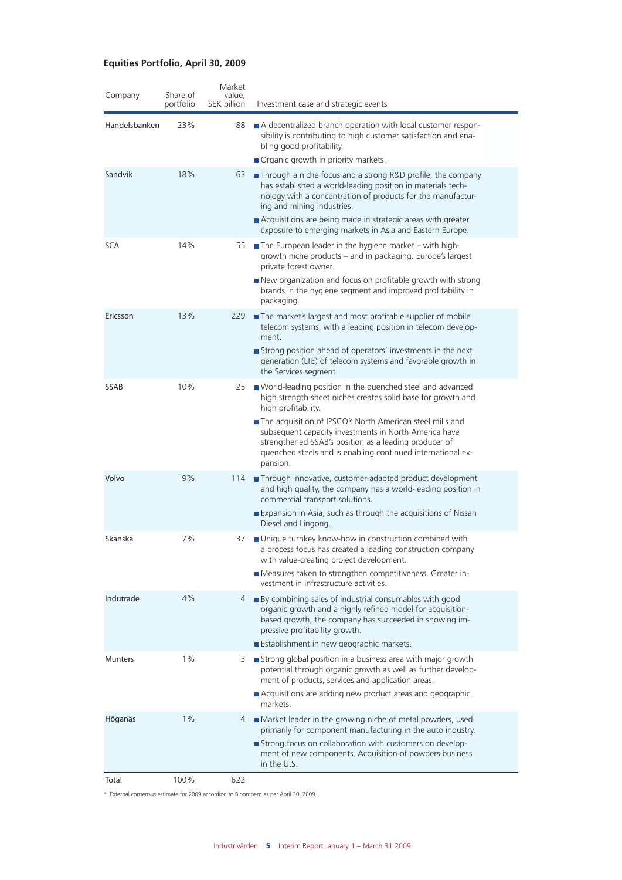# **Equities Portfolio, April 30, 2009**

| Company        | Share of<br>portfolio | Market<br>value,<br>SEK billion | Investment case and strategic events                                                                                                                                                                                                                                                       |
|----------------|-----------------------|---------------------------------|--------------------------------------------------------------------------------------------------------------------------------------------------------------------------------------------------------------------------------------------------------------------------------------------|
| Handelsbanken  | 23%                   | 88                              | A decentralized branch operation with local customer respon-<br>sibility is contributing to high customer satisfaction and ena-<br>bling good profitability.<br>Organic growth in priority markets.                                                                                        |
| Sandvik        | 18%                   | 63                              | Through a niche focus and a strong R&D profile, the company<br>has established a world-leading position in materials tech-<br>nology with a concentration of products for the manufactur-<br>ing and mining industries.                                                                    |
|                |                       |                                 | Acquisitions are being made in strategic areas with greater<br>exposure to emerging markets in Asia and Eastern Europe.                                                                                                                                                                    |
| <b>SCA</b>     | 14%                   | 55                              | $\blacksquare$ The European leader in the hygiene market – with high-<br>growth niche products – and in packaging. Europe's largest<br>private forest owner.<br>New organization and focus on profitable growth with strong<br>brands in the hygiene segment and improved profitability in |
|                |                       |                                 | packaging.                                                                                                                                                                                                                                                                                 |
| Ericsson       | 13%                   | 229                             | The market's largest and most profitable supplier of mobile<br>telecom systems, with a leading position in telecom develop-<br>ment.                                                                                                                                                       |
|                |                       |                                 | Strong position ahead of operators' investments in the next<br>generation (LTE) of telecom systems and favorable growth in<br>the Services segment.                                                                                                                                        |
| <b>SSAB</b>    | 10%                   | 25                              | ■ World-leading position in the quenched steel and advanced<br>high strength sheet niches creates solid base for growth and<br>high profitability.                                                                                                                                         |
|                |                       |                                 | The acquisition of IPSCO's North American steel mills and<br>subsequent capacity investments in North America have<br>strengthened SSAB's position as a leading producer of<br>quenched steels and is enabling continued international ex-<br>pansion.                                     |
| Volvo          | 9%                    | 114                             | Through innovative, customer-adapted product development<br>and high quality, the company has a world-leading position in<br>commercial transport solutions.                                                                                                                               |
|                |                       |                                 | Expansion in Asia, such as through the acquisitions of Nissan<br>Diesel and Lingong.                                                                                                                                                                                                       |
| Skanska        | 7%                    | 37                              | ■ Unique turnkey know-how in construction combined with<br>a process focus has created a leading construction company<br>with value-creating project development.                                                                                                                          |
|                |                       |                                 | Measures taken to strengthen competitiveness. Greater in-<br>vestment in infrastructure activities                                                                                                                                                                                         |
| Indutrade      | 4%                    | 4                               | By combining sales of industrial consumables with good<br>organic growth and a highly refined model for acquisition-<br>based growth, the company has succeeded in showing im-<br>pressive profitability growth.<br>Establishment in new geographic markets.                               |
| <b>Munters</b> | $1\%$                 | 3                               | Strong global position in a business area with major growth                                                                                                                                                                                                                                |
|                |                       |                                 | potential through organic growth as well as further develop-<br>ment of products, services and application areas.                                                                                                                                                                          |
|                |                       |                                 | Acquisitions are adding new product areas and geographic<br>markets.                                                                                                                                                                                                                       |
| Höganäs        | $1\%$                 | 4                               | Market leader in the growing niche of metal powders, used<br>primarily for component manufacturing in the auto industry.                                                                                                                                                                   |
|                |                       |                                 | Strong focus on collaboration with customers on develop-<br>ment of new components. Acquisition of powders business<br>in the U.S.                                                                                                                                                         |
| Total          | 100%                  | 622                             |                                                                                                                                                                                                                                                                                            |

\* External consensus estimate for 2009 according to Bloomberg as per April 30, 2009.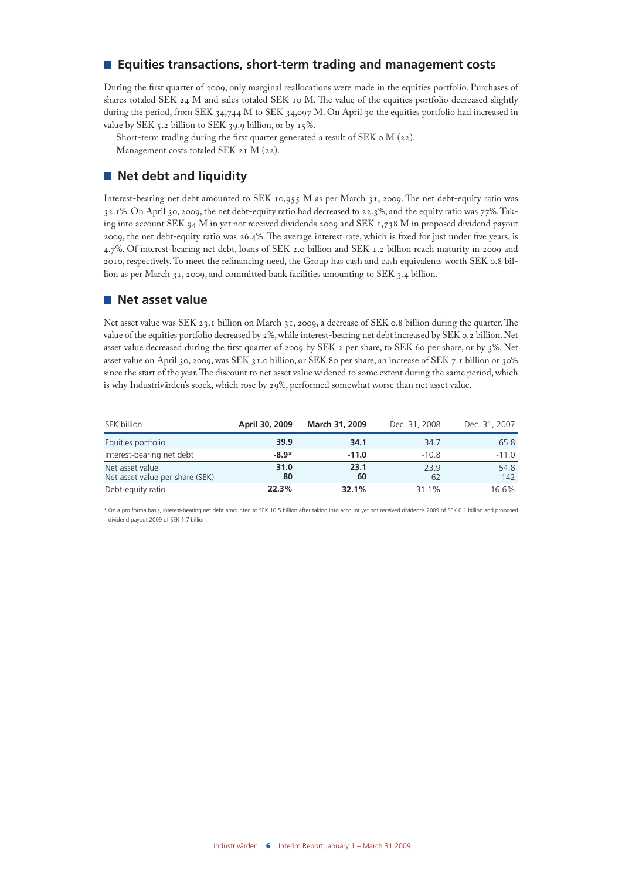# **Equities transactions, short-term trading and management costs**

During the first quarter of 2009, only marginal reallocations were made in the equities portfolio. Purchases of shares totaled SEK 24 M and sales totaled SEK 10 M. The value of the equities portfolio decreased slightly during the period, from SEK 34,744 M to SEK 34,097 M. On April 30 the equities portfolio had increased in value by SEK 5.2 billion to SEK 39.9 billion, or by  $15\%$ .

Short-term trading during the first quarter generated a result of SEK 0 M (22). Management costs totaled SEK 21 M (22).

# **Net debt and liquidity**

Interest-bearing net debt amounted to SEK 10,955 M as per March 31, 2009. The net debt-equity ratio was 32.1%. On April 30, 2009, the net debt-equity ratio had decreased to 22.3%, and the equity ratio was 77%. Taking into account SEK 94 M in yet not received dividends 2009 and SEK 1,738 M in proposed dividend payout 2009, the net debt-equity ratio was 26.4%. The average interest rate, which is fixed for just under five years, is 4.7%. Of interest-bearing net debt, loans of SEK 2.0 billion and SEK 1.2 billion reach maturity in 2009 and 2010, respectively. To meet the refinancing need, the Group has cash and cash equivalents worth SEK 0.8 billion as per March 31, 2009, and committed bank facilities amounting to SEK 3.4 billion.

# **Net asset value**

Net asset value was SEK 23.1 billion on March 31, 2009, a decrease of SEK 0.8 billion during the quarter. The value of the equities portfolio decreased by 2%, while interest-bearing net debt increased by SEK 0.2 billion. Net asset value decreased during the first quarter of 2009 by SEK 2 per share, to SEK 60 per share, or by 3%. Net asset value on April 30, 2009, was SEK 31.0 billion, or SEK 80 per share, an increase of SEK 7.1 billion or 30% since the start of the year. The discount to net asset value widened to some extent during the same period, which is why Industrivärden's stock, which rose by 29%, performed somewhat worse than net asset value.

| SEK billion                                        | April 30, 2009 | March 31, 2009 | Dec. 31, 2008 | Dec. 31, 2007 |
|----------------------------------------------------|----------------|----------------|---------------|---------------|
| Equities portfolio                                 | 39.9           | 34.1           | 34.7          | 65.8          |
| Interest-bearing net debt                          | $-8.9*$        | $-11.0$        | $-10.8$       | $-11.0$       |
| Net asset value<br>Net asset value per share (SEK) | 31.0<br>80     | 23.1<br>60     | 23.9<br>62    | 54.8<br>142   |
| Debt-equity ratio                                  | 22.3%          | 32.1%          | 31.1%         | 16.6%         |

\* On a pro forma basis, interest-bearing net debt amounted to SEK 10.5 billion after taking into account yet not received dividends 2009 of SEK 0.1 billion and proposed dividend payout 2009 of SEK 1.7 billion.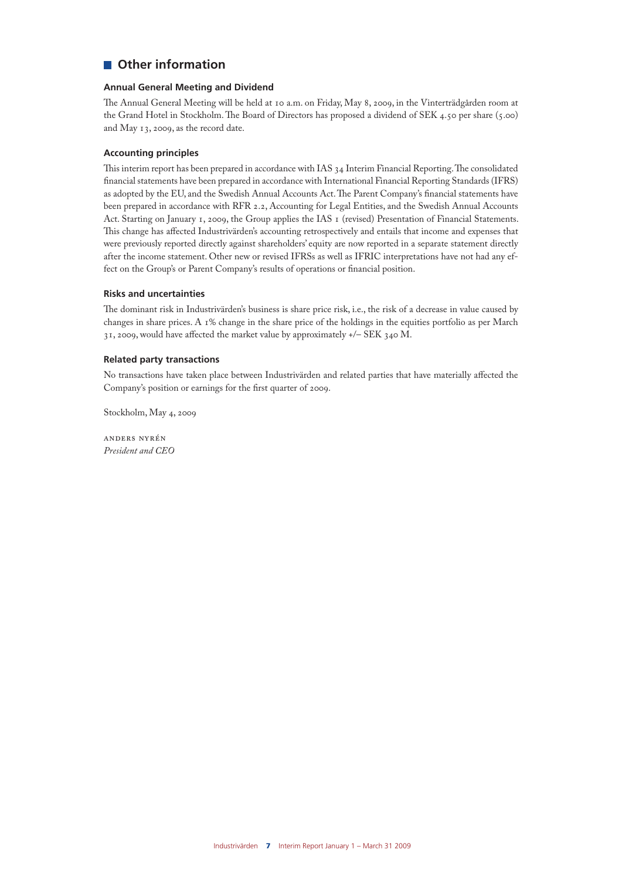# **Other information**

## **Annual General Meeting and Dividend**

The Annual General Meeting will be held at 10 a.m. on Friday, May 8, 2009, in the Vinterträdgården room at the Grand Hotel in Stockholm. The Board of Directors has proposed a dividend of SEK 4.50 per share (5.00) and May 13, 2009, as the record date.

#### **Accounting principles**

This interim report has been prepared in accordance with IAS 34 Interim Financial Reporting. The consolidated financial statements have been prepared in accordance with International Financial Reporting Standards (IFRS) as adopted by the EU, and the Swedish Annual Accounts Act. The Parent Company's financial statements have been prepared in accordance with RFR 2.2, Accounting for Legal Entities, and the Swedish Annual Accounts Act. Starting on January 1, 2009, the Group applies the IAS 1 (revised) Presentation of Financial Statements. This change has affected Industrivärden's accounting retrospectively and entails that income and expenses that were previously reported directly against shareholders' equity are now reported in a separate statement directly after the income statement. Other new or revised IFRSs as well as IFRIC interpretations have not had any effect on the Group's or Parent Company's results of operations or financial position.

### **Risks and uncertainties**

The dominant risk in Industrivärden's business is share price risk, i.e., the risk of a decrease in value caused by changes in share prices. A 1% change in the share price of the holdings in the equities portfolio as per March 31, 2009, would have affected the market value by approximately +/– SEK 340 M.

#### **Related party transactions**

No transactions have taken place between Industrivärden and related parties that have materially affected the Company's position or earnings for the first quarter of 2009.

Stockholm, May 4, 2009

Anders nyrén *President and CEO*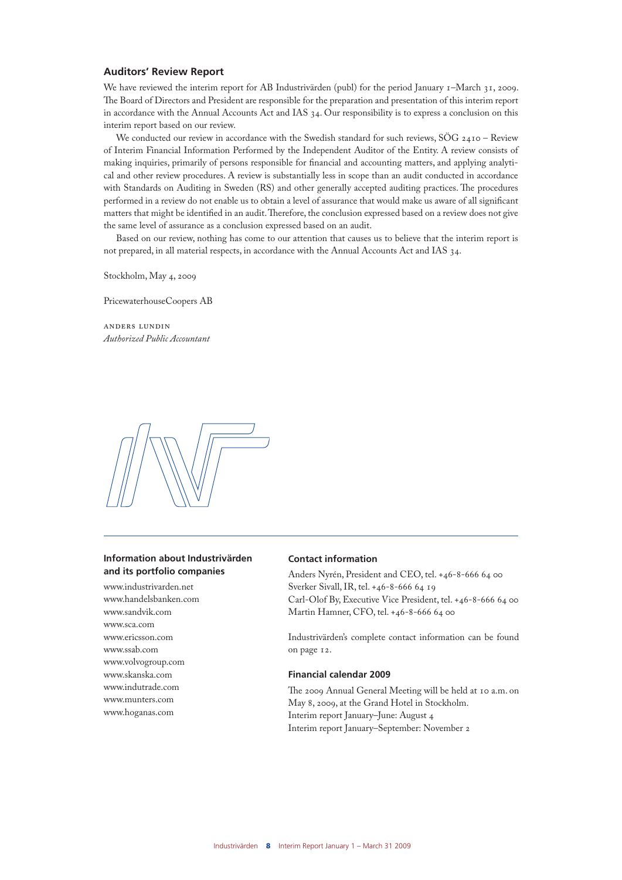## **Auditors' Review Report**

We have reviewed the interim report for AB Industrivärden (publ) for the period January 1–March 31, 2009. The Board of Directors and President are responsible for the preparation and presentation of this interim report in accordance with the Annual Accounts Act and IAS 34. Our responsibility is to express a conclusion on this interim report based on our review.

We conducted our review in accordance with the Swedish standard for such reviews, SÖG 2410 - Review of Interim Financial Information Performed by the Independent Auditor of the Entity. A review consists of making inquiries, primarily of persons responsible for financial and accounting matters, and applying analytical and other review procedures. A review is substantially less in scope than an audit conducted in accordance with Standards on Auditing in Sweden (RS) and other generally accepted auditing practices. The procedures performed in a review do not enable us to obtain a level of assurance that would make us aware of all significant matters that might be identified in an audit. Therefore, the conclusion expressed based on a review does not give the same level of assurance as a conclusion expressed based on an audit.

Based on our review, nothing has come to our attention that causes us to believe that the interim report is not prepared, in all material respects, in accordance with the Annual Accounts Act and IAS 34.

Stockholm, May 4, 2009

PricewaterhouseCoopers AB

anders lundin *Authorized Public Accountant*



### **Information about Industrivärden and its portfolio companies**

www.industrivarden.net www.handelsbanken.com www.sandvik.com www.sca.com www.ericsson.com www.ssab.com www.volvogroup.com www.skanska.com www.indutrade.com www.munters.com www.hoganas.com

## **Contact information**

Anders Nyrén, President and CEO, tel. +46-8-666 64 00 Sverker Sivall, IR, tel. +46-8-666 64 19 Carl-Olof By, Executive Vice President, tel. +46-8-666 64 00 Martin Hamner, CFO, tel. +46-8-666 64 00

Industrivärden's complete contact information can be found on page 12.

#### **Financial calendar 2009**

The 2009 Annual General Meeting will be held at 10 a.m. on May 8, 2009, at the Grand Hotel in Stockholm. Interim report January–June: August 4 Interim report January–September: November 2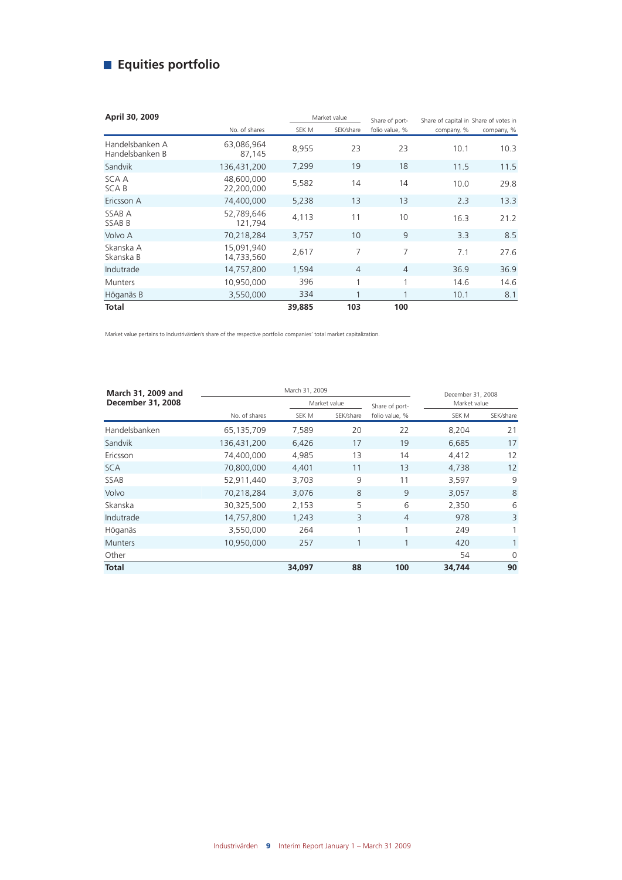# **Equities portfolio**

| April 30, 2009                     |                          |        | Market value   |                |            |            |  |  | Share of capital in Share of votes in |  |
|------------------------------------|--------------------------|--------|----------------|----------------|------------|------------|--|--|---------------------------------------|--|
|                                    | No. of shares            | SEK M  | SEK/share      | folio value, % | company, % | company, % |  |  |                                       |  |
| Handelsbanken A<br>Handelsbanken B | 63,086,964<br>87,145     | 8,955  | 23             | 23             | 10.1       | 10.3       |  |  |                                       |  |
| Sandvik                            | 136,431,200              | 7,299  | 19             | 18             | 11.5       | 11.5       |  |  |                                       |  |
| SCA A<br>SCA B                     | 48,600,000<br>22,200,000 | 5,582  | 14             | 14             | 10.0       | 29.8       |  |  |                                       |  |
| Ericsson A                         | 74,400,000               | 5,238  | 13             | 13             | 2.3        | 13.3       |  |  |                                       |  |
| SSAB A<br><b>SSABB</b>             | 52,789,646<br>121,794    | 4,113  | 11             | 10             | 16.3       | 21.2       |  |  |                                       |  |
| Volvo A                            | 70,218,284               | 3,757  | 10             | 9              | 3.3        | 8.5        |  |  |                                       |  |
| Skanska A<br>Skanska B             | 15,091,940<br>14,733,560 | 2,617  | 7              | 7              | 7.1        | 27.6       |  |  |                                       |  |
| Indutrade                          | 14,757,800               | 1,594  | $\overline{4}$ | $\overline{4}$ | 36.9       | 36.9       |  |  |                                       |  |
| <b>Munters</b>                     | 10,950,000               | 396    | 1              | 1              | 14.6       | 14.6       |  |  |                                       |  |
| Höganäs B                          | 3,550,000                | 334    |                | $\mathbf{1}$   | 10.1       | 8.1        |  |  |                                       |  |
| <b>Total</b>                       |                          | 39.885 | 103            | 100            |            |            |  |  |                                       |  |

Market value pertains to Industrivärden's share of the respective portfolio companies' total market capitalization.

| March 31, 2009 and |               | December 31, 2008 |              |                |              |                   |
|--------------------|---------------|-------------------|--------------|----------------|--------------|-------------------|
| December 31, 2008  |               |                   | Market value |                | Market value |                   |
|                    | No. of shares | SEK M             | SEK/share    | folio value, % | SEK M        | SEK/share         |
| Handelsbanken      | 65,135,709    | 7,589             | 20           | 22             | 8,204        | 21                |
| Sandvik            | 136,431,200   | 6,426             | 17           | 19             | 6,685        | 17                |
| Ericsson           | 74,400,000    | 4,985             | 13           | 14             | 4,412        | 12                |
| <b>SCA</b>         | 70,800,000    | 4,401             | 11           | 13             | 4,738        | $12 \overline{ }$ |
| <b>SSAB</b>        | 52,911,440    | 3.703             | 9            | 11             | 3,597        | 9                 |
| Volvo              | 70,218,284    | 3,076             | 8            | 9              | 3,057        | 8                 |
| Skanska            | 30,325,500    | 2,153             | 5            | 6              | 2,350        | 6                 |
| Indutrade          | 14,757,800    | 1,243             | 3            | $\overline{4}$ | 978          | 3                 |
| Höganäs            | 3,550,000     | 264               | 1            | 1              | 249          | 1                 |
| <b>Munters</b>     | 10,950,000    | 257               |              | $\mathbf{1}$   | 420          | $\mathbf{1}$      |
| Other              |               |                   |              |                | 54           | $\Omega$          |
| Total              |               | 34,097            | 88           | 100            | 34,744       | 90                |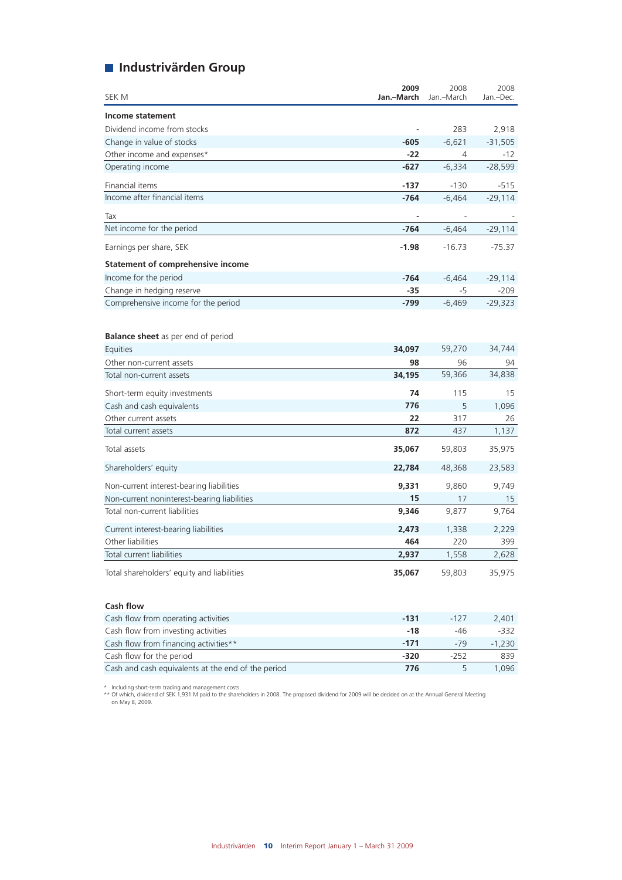# **Industrivärden Group**

| SEK M                                                 | 2009<br>Jan.-March | 2008<br>Jan.-March | 2008<br>Jan.-Dec. |
|-------------------------------------------------------|--------------------|--------------------|-------------------|
| Income statement                                      |                    |                    |                   |
| Dividend income from stocks                           |                    | 283                | 2,918             |
| Change in value of stocks                             | $-605$             | $-6,621$           | $-31,505$         |
| Other income and expenses*                            | -22                | 4                  | $-12$             |
| Operating income                                      | $-627$             | $-6,334$           | $-28,599$         |
| Financial items                                       | $-137$             | $-130$             | $-515$            |
| Income after financial items                          | $-764$             | $-6,464$           | $-29,114$         |
| Tax                                                   |                    |                    |                   |
| Net income for the period                             | -764               | $-6,464$           | $-29,114$         |
| Earnings per share, SEK                               | $-1.98$            | $-16.73$           | $-75.37$          |
| <b>Statement of comprehensive income</b>              |                    |                    |                   |
| Income for the period                                 | $-764$             | $-6,464$           | $-29,114$         |
| Change in hedging reserve                             | -35                | -5                 | $-209$            |
| Comprehensive income for the period                   | -799               | $-6,469$           | $-29,323$         |
| <b>Balance sheet</b> as per end of period<br>Equities | 34,097             | 59,270             | 34,744            |
| Other non-current assets                              | 98                 | 96                 | 94                |
| Total non-current assets                              | 34,195             | 59,366             | 34,838            |
|                                                       |                    |                    |                   |
| Short-term equity investments                         | 74                 | 115                | 15                |
| Cash and cash equivalents                             | 776                | 5                  | 1.096             |
| Other current assets                                  | 22<br>872          | 317<br>437         | 26                |
| Total current assets                                  |                    |                    | 1,137             |
| Total assets                                          | 35,067             | 59,803             | 35,975            |
| Shareholders' equity                                  | 22,784             | 48,368             | 23,583            |
| Non-current interest-bearing liabilities              | 9,331              | 9,860              | 9,749             |
| Non-current noninterest-bearing liabilities           | 15                 | 17                 | 15                |
| Total non-current liabilities                         | 9,346              | 9,877              | 9,764             |
| Current interest-bearing liabilities                  | 2,473              | 1,338              | 2,229             |
| Other liabilities                                     | 464                | 220                | 399               |
| Total current liabilities                             | 2,937              | 1,558              | 2,628             |
| Total shareholders' equity and liabilities            | 35,067             | 59,803             | 35,975            |

| Cash flow from operating activities                | -131   | -127 | 2.401    |
|----------------------------------------------------|--------|------|----------|
| Cash flow from investing activities                | $-18$  | -46  | -332     |
| Cash flow from financing activities**              | $-171$ | -79  | $-1.230$ |
| Cash flow for the period                           | -320   | -252 | 839      |
| Cash and cash equivalents at the end of the period | 776    |      | 1.096    |

**Cash flow**

\* Including short-term trading and management costs. \*\* Of which, dividend of SEK 1,931 M paid to the shareholders in 2008. The proposed dividend for 2009 will be decided on at the Annual General Meeting on May 8, 2009.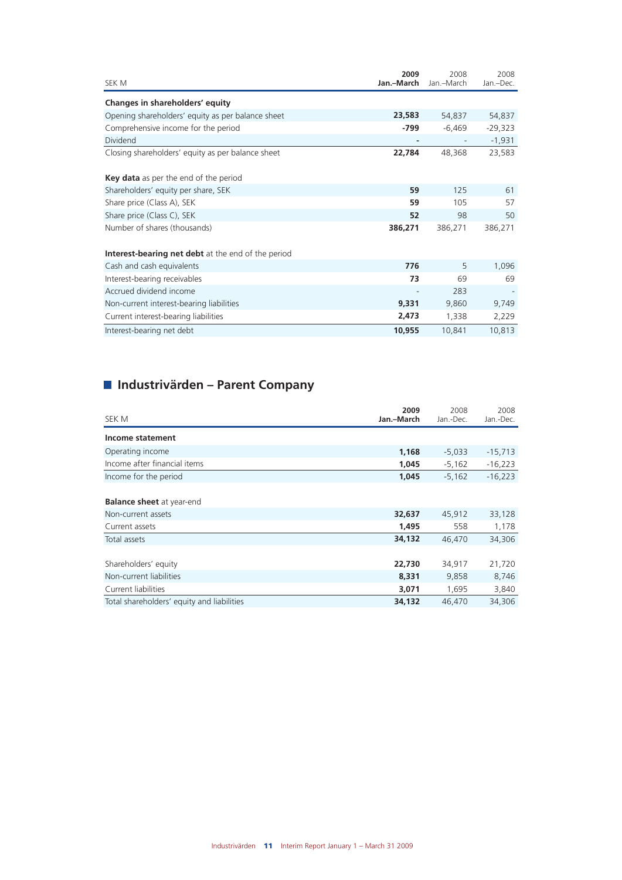| SEK M                                                     | 2009<br>Jan.-March | 2008<br>Jan.-March | 2008<br>Jan.-Dec. |
|-----------------------------------------------------------|--------------------|--------------------|-------------------|
| Changes in shareholders' equity                           |                    |                    |                   |
| Opening shareholders' equity as per balance sheet         | 23,583             | 54,837             | 54,837            |
| Comprehensive income for the period                       | -799               | $-6,469$           | $-29,323$         |
| <b>Dividend</b>                                           |                    |                    | $-1,931$          |
| Closing shareholders' equity as per balance sheet         | 22,784             | 48,368             | 23,583            |
| <b>Key data</b> as per the end of the period              |                    |                    |                   |
| Shareholders' equity per share, SEK                       | 59                 | 125                | 61                |
| Share price (Class A), SEK                                | 59                 | 105                | 57                |
| Share price (Class C), SEK                                | 52                 | 98                 | 50                |
| Number of shares (thousands)                              | 386,271            | 386,271            | 386,271           |
| <b>Interest-bearing net debt</b> at the end of the period |                    |                    |                   |
| Cash and cash equivalents                                 | 776                | 5                  | 1,096             |
| Interest-bearing receivables                              | 73                 | 69                 | 69                |
| Accrued dividend income                                   |                    | 283                |                   |
| Non-current interest-bearing liabilities                  | 9,331              | 9,860              | 9,749             |
| Current interest-bearing liabilities                      | 2,473              | 1,338              | 2,229             |
| Interest-bearing net debt                                 | 10,955             | 10,841             | 10,813            |

# **Industrivärden – Parent Company**

| SEK M                                                                    | 2009<br>Jan.-March       | 2008<br>Jan.-Dec.        | 2008<br>Jan.-Dec.        |
|--------------------------------------------------------------------------|--------------------------|--------------------------|--------------------------|
| Income statement                                                         |                          |                          |                          |
| Operating income                                                         | 1,168                    | $-5,033$                 | $-15,713$                |
| Income after financial items                                             | 1,045                    | $-5,162$                 | $-16,223$                |
| Income for the period                                                    | 1,045                    | $-5,162$                 | $-16,223$                |
| <b>Balance sheet</b> at year-end<br>Non-current assets<br>Current assets | 32,637<br>1,495          | 45,912<br>558            | 33,128<br>1,178          |
| Total assets                                                             | 34,132                   | 46,470                   | 34,306                   |
| Shareholders' equity<br>Non-current liabilities<br>Current liabilities   | 22,730<br>8,331<br>3,071 | 34,917<br>9,858<br>1,695 | 21,720<br>8,746<br>3,840 |
| Total shareholders' equity and liabilities                               | 34,132                   | 46,470                   | 34,306                   |